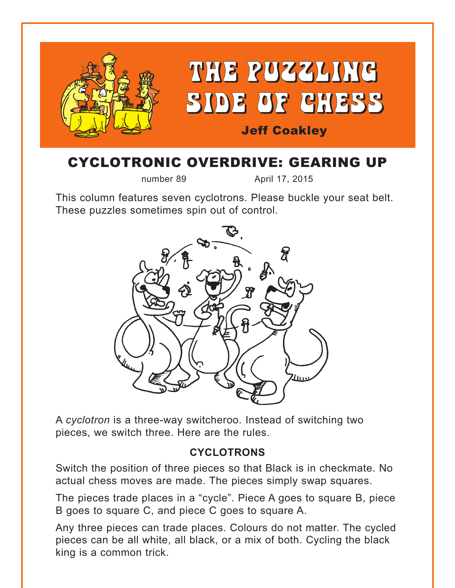

## CYCLOTRONIC OVERDRIVE: GEARING UP

number 89 April 17, 2015

This column features seven cyclotrons. Please buckle your seat belt. These puzzles sometimes spin out of control.



A *cyclotron* is a three-way switcheroo. Instead of switching two pieces, we switch three. Here are the rules.

#### **CYCLOTRONS**

Switch the position of three pieces so that Black is in checkmate. No actual chess moves are made. The pieces simply swap squares.

The pieces trade places in a "cycle". Piece A goes to square B, piece B goes to square C, and piece C goes to square A.

Any three pieces can trade places. Colours do not matter. The cycled pieces can be all white, all black, or a mix of both. Cycling the black king is a common trick.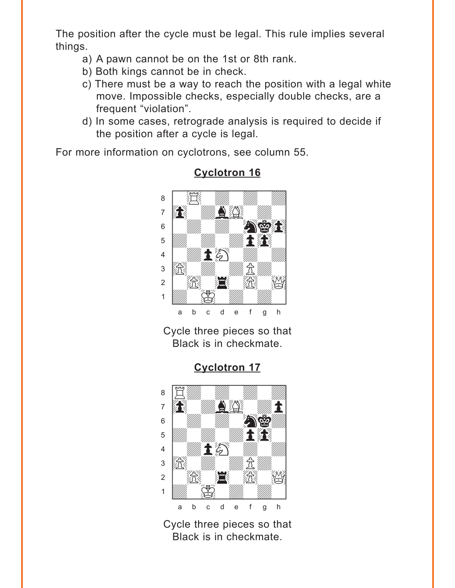<span id="page-1-0"></span>The position after the cycle must be legal. This rule implies several things.

- a) A pawn cannot be on the 1st or 8th rank.
- b) Both kings cannot be in check.
- c) There must be a way to reach the position with a legal white move. Impossible checks, especially double checks, are a frequent "violation".
- d) In some cases, retrograde analysis is required to decide if the position after a cycle is legal.

For more information on cyclotrons, see column 55.



#### **[Cyclotron 16](#page-4-0)**

Cycle three pieces so that Black is in checkmate.

### **[Cyclotron 17](#page-5-0)**



Cycle three pieces so that Black is in checkmate.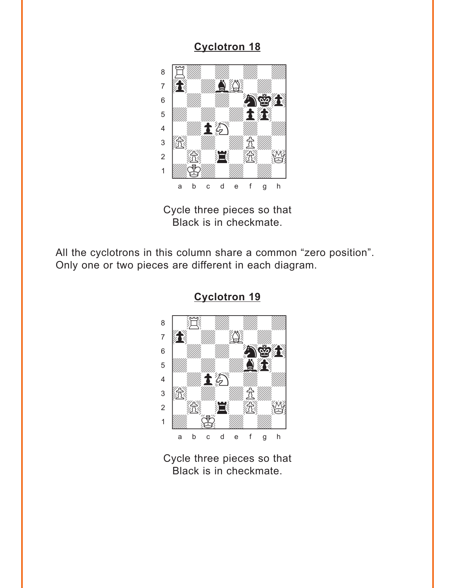<span id="page-2-0"></span>

Cycle three pieces so that Black is in checkmate.

All the cyclotrons in this column share a common "zero position". Only one or two pieces are different in each diagram.



**[Cyclotron 19](#page-6-0)**

Cycle three pieces so that Black is in checkmate.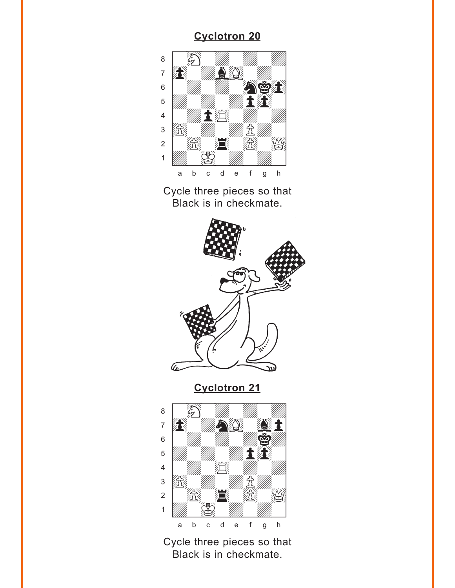<span id="page-3-0"></span>

Cycle three pieces so that Black is in checkmate.



**[Cyclotron 21](#page-6-0)**



Cycle three pieces so that Black is in checkmate.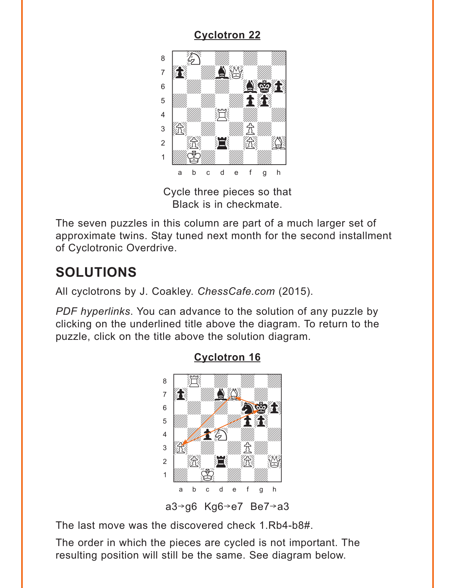<span id="page-4-0"></span>

Cycle three pieces so that Black is in checkmate.

The seven puzzles in this column are part of a much larger set of approximate twins. Stay tuned next month for the second installment of Cyclotronic Overdrive.

# **SOLUTIONS**

All cyclotrons by J. Coakley. *ChessCafe.com* (2015).

*PDF hyperlinks*. You can advance to the solution of any puzzle by clicking on the underlined title above the diagram. To return to the puzzle, click on the title above the solution diagram.



### **[Cyclotron 16](#page-1-0)**

a3 $\rightarrow$ g6 Kg6 $\rightarrow$ e7 Be7 $\rightarrow$ a3

The last move was the discovered check 1.Rb4-b8#.

The order in which the pieces are cycled is not important. The resulting position will still be the same. See diagram below.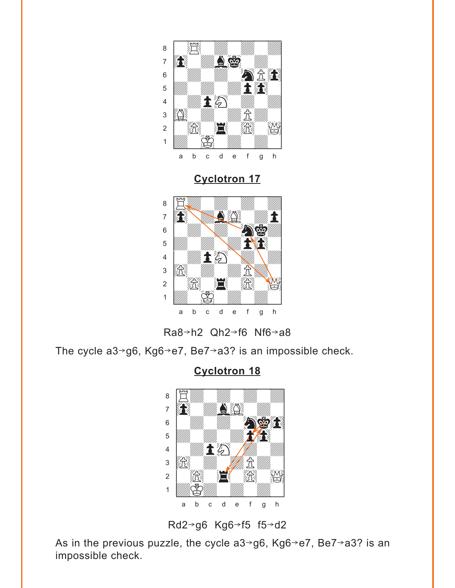<span id="page-5-0"></span>

**[Cyclotron 17](#page-1-0)**





The cycle a3 $\rightarrow$ g6, Kg6 $\rightarrow$ e7, Be7 $\rightarrow$ a3? is an impossible check.

**[Cyclotron 18](#page-2-0)**



Rd2 $\rightarrow$ g6 Kg6 $\rightarrow$ f5 f5 $\rightarrow$ d2

As in the previous puzzle, the cycle  $a3 \rightarrow g6$ , Kg $6 \rightarrow e7$ , Be $7 \rightarrow a3$ ? is an impossible check.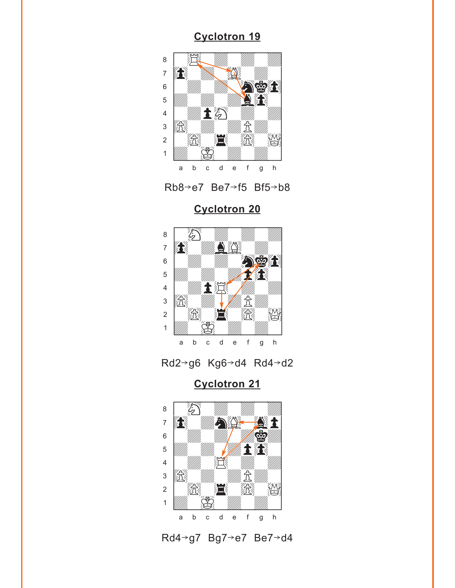<span id="page-6-0"></span>



**[Cyclotron 20](#page-3-0)**





**[Cyclotron 21](#page-3-0)**



Rd4>g7 Bg7>e7 Be7>d4